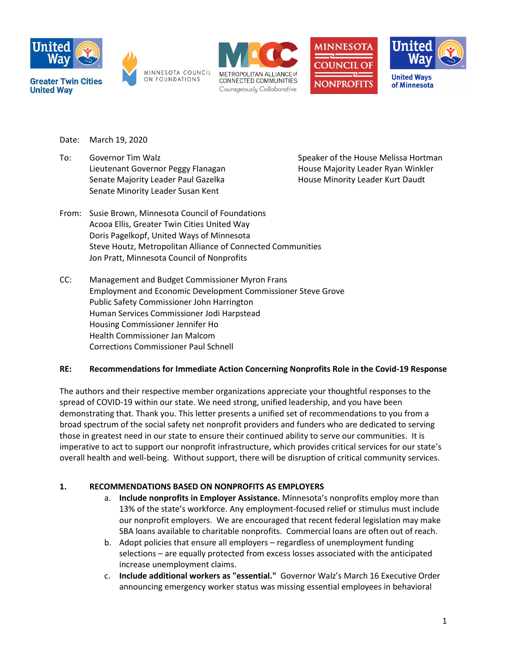









Date: March 19, 2020

To: Governor Tim Walz Speaker of the House Melissa Hortman Lieutenant Governor Peggy Flanagan **House Majority Leader Ryan Winkler** Senate Majority Leader Paul Gazelka **House Minority Leader Kurt Daudt** Senate Minority Leader Susan Kent

- From: Susie Brown, Minnesota Council of Foundations Acooa Ellis, Greater Twin Cities United Way Doris Pagelkopf, United Ways of Minnesota Steve Houtz, Metropolitan Alliance of Connected Communities Jon Pratt, Minnesota Council of Nonprofits
- CC: Management and Budget Commissioner Myron Frans Employment and Economic Development Commissioner Steve Grove Public Safety Commissioner John Harrington Human Services Commissioner Jodi Harpstead Housing Commissioner Jennifer Ho Health Commissioner Jan Malcom Corrections Commissioner Paul Schnell

# **RE: Recommendations for Immediate Action Concerning Nonprofits Role in the Covid-19 Response**

The authors and their respective member organizations appreciate your thoughtful responses to the spread of COVID-19 within our state. We need strong, unified leadership, and you have been demonstrating that. Thank you. This letter presents a unified set of recommendations to you from a broad spectrum of the social safety net nonprofit providers and funders who are dedicated to serving those in greatest need in our state to ensure their continued ability to serve our communities. It is imperative to act to support our nonprofit infrastructure, which provides critical services for our state's overall health and well-being. Without support, there will be disruption of critical community services.

# **1. RECOMMENDATIONS BASED ON NONPROFITS AS EMPLOYERS**

- a. **Include nonprofits in Employer Assistance.** Minnesota's nonprofits employ more than 13% of the state's workforce. Any employment-focused relief or stimulus must include our nonprofit employers. We are encouraged that recent federal legislation may make SBA loans available to charitable nonprofits. Commercial loans are often out of reach.
- b. Adopt policies that ensure all employers regardless of unemployment funding selections – are equally protected from excess losses associated with the anticipated increase unemployment claims.
- c. **Include additional workers as "essential."** Governor Walz's March 16 Executive Order announcing emergency worker status was missing essential employees in behavioral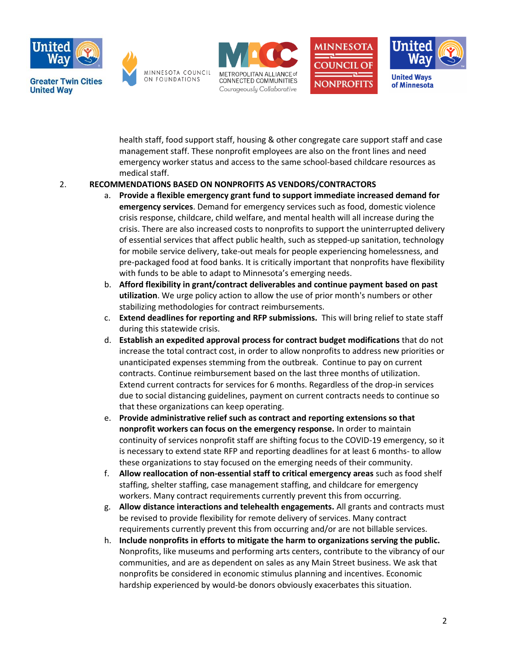









of Minnesota

health staff, food support staff, housing & other congregate care support staff and case management staff. These nonprofit employees are also on the front lines and need emergency worker status and access to the same school-based childcare resources as medical staff.

# 2. **RECOMMENDATIONS BASED ON NONPROFITS AS VENDORS/CONTRACTORS**

- a. **Provide a flexible emergency grant fund to support immediate increased demand for emergency services**. Demand for emergency services such as food, domestic violence crisis response, childcare, child welfare, and mental health will all increase during the crisis. There are also increased costs to nonprofits to support the uninterrupted delivery of essential services that affect public health, such as stepped-up sanitation, technology for mobile service delivery, take-out meals for people experiencing homelessness, and pre-packaged food at food banks. It is critically important that nonprofits have flexibility with funds to be able to adapt to Minnesota's emerging needs.
- b. **Afford flexibility in grant/contract deliverables and continue payment based on past utilization**. We urge policy action to allow the use of prior month's numbers or other stabilizing methodologies for contract reimbursements.
- c. **Extend deadlines for reporting and RFP submissions.** This will bring relief to state staff during this statewide crisis.
- d. **Establish an expedited approval process for contract budget modifications** that do not increase the total contract cost, in order to allow nonprofits to address new priorities or unanticipated expenses stemming from the outbreak. Continue to pay on current contracts. Continue reimbursement based on the last three months of utilization. Extend current contracts for services for 6 months. Regardless of the drop-in services due to social distancing guidelines, payment on current contracts needs to continue so that these organizations can keep operating.
- e. **Provide administrative relief such as contract and reporting extensions so that nonprofit workers can focus on the emergency response.** In order to maintain continuity of services nonprofit staff are shifting focus to the COVID-19 emergency, so it is necessary to extend state RFP and reporting deadlines for at least 6 months- to allow these organizations to stay focused on the emerging needs of their community.
- f. **Allow reallocation of non-essential staff to critical emergency areas** such as food shelf staffing, shelter staffing, case management staffing, and childcare for emergency workers. Many contract requirements currently prevent this from occurring.
- g. **Allow distance interactions and telehealth engagements.** All grants and contracts must be revised to provide flexibility for remote delivery of services. Many contract requirements currently prevent this from occurring and/or are not billable services.
- h. **Include nonprofits in efforts to mitigate the harm to organizations serving the public.**  Nonprofits, like museums and performing arts centers, contribute to the vibrancy of our communities, and are as dependent on sales as any Main Street business. We ask that nonprofits be considered in economic stimulus planning and incentives. Economic hardship experienced by would-be donors obviously exacerbates this situation.